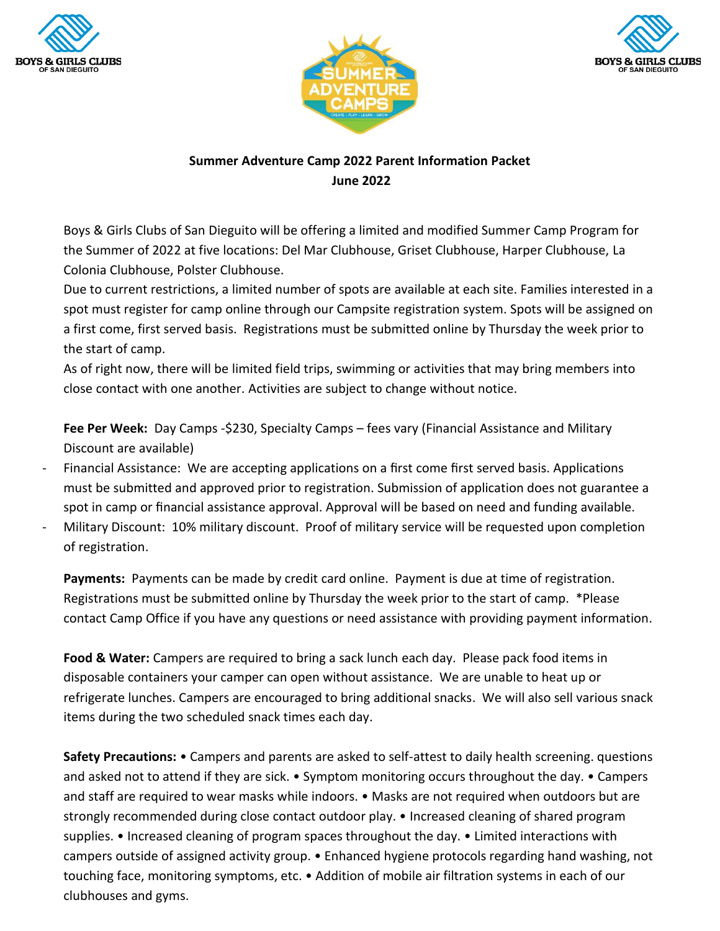





# **Summer Adventure Camp 2022 Parent Information Packet June 2022**

Boys & Girls Clubs of San Dieguito will be offering a limited and modified Summer Camp Program for the Summer of 2022 at five locations: Del Mar Clubhouse, Griset Clubhouse, Harper Clubhouse, La Colonia Clubhouse, Polster Clubhouse.

Due to current restrictions, a limited number of spots are available at each site. Families interested in a spot must register for camp online through our Campsite registration system. Spots will be assigned on a first come, first served basis. Registrations must be submitted online by Thursday the week prior to the start of camp.

As of right now, there will be limited field trips, swimming or activities that may bring members into close contact with one another. Activities are subject to change without notice.

**Fee Per Week:** Day Camps -\$230, Specialty Camps – fees vary (Financial Assistance and Military Discount are available)

- Financial Assistance: We are accepting applications on a first come first served basis. Applications must be submitted and approved prior to registration. Submission of application does not guarantee a spot in camp or financial assistance approval. Approval will be based on need and funding available.
- Military Discount: 10% military discount. Proof of military service will be requested upon completion of registration.

**Payments:** Payments can be made by credit card online. Payment is due at time of registration. Registrations must be submitted online by Thursday the week prior to the start of camp. \*Please contact Camp Office if you have any questions or need assistance with providing payment information.

**Food & Water:** Campers are required to bring a sack lunch each day. Please pack food items in disposable containers your camper can open without assistance. We are unable to heat up or refrigerate lunches. Campers are encouraged to bring additional snacks. We will also sell various snack items during the two scheduled snack times each day.

**Safety Precautions:** • Campers and parents are asked to self-attest to daily health screening. questions and asked not to attend if they are sick. • Symptom monitoring occurs throughout the day. • Campers and staff are required to wear masks while indoors. • Masks are not required when outdoors but are strongly recommended during close contact outdoor play. • Increased cleaning of shared program supplies. • Increased cleaning of program spaces throughout the day. • Limited interactions with campers outside of assigned activity group. • Enhanced hygiene protocols regarding hand washing, not touching face, monitoring symptoms, etc. • Addition of mobile air filtration systems in each of our clubhouses and gyms.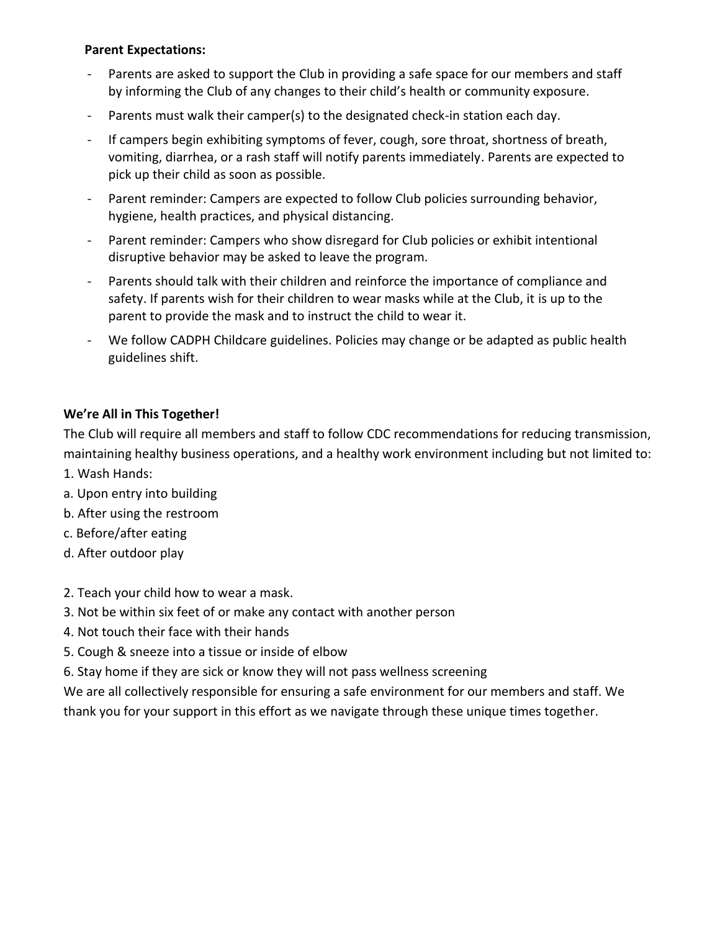### **Parent Expectations:**

- Parents are asked to support the Club in providing a safe space for our members and staff by informing the Club of any changes to their child's health or community exposure.
- Parents must walk their camper(s) to the designated check-in station each day.
- If campers begin exhibiting symptoms of fever, cough, sore throat, shortness of breath, vomiting, diarrhea, or a rash staff will notify parents immediately. Parents are expected to pick up their child as soon as possible.
- Parent reminder: Campers are expected to follow Club policies surrounding behavior, hygiene, health practices, and physical distancing.
- Parent reminder: Campers who show disregard for Club policies or exhibit intentional disruptive behavior may be asked to leave the program.
- Parents should talk with their children and reinforce the importance of compliance and safety. If parents wish for their children to wear masks while at the Club, it is up to the parent to provide the mask and to instruct the child to wear it.
- We follow CADPH Childcare guidelines. Policies may change or be adapted as public health guidelines shift.

## **We're All in This Together!**

The Club will require all members and staff to follow CDC recommendations for reducing transmission, maintaining healthy business operations, and a healthy work environment including but not limited to:

- 1. Wash Hands:
- a. Upon entry into building
- b. After using the restroom
- c. Before/after eating
- d. After outdoor play
- 2. Teach your child how to wear a mask.
- 3. Not be within six feet of or make any contact with another person
- 4. Not touch their face with their hands
- 5. Cough & sneeze into a tissue or inside of elbow
- 6. Stay home if they are sick or know they will not pass wellness screening

We are all collectively responsible for ensuring a safe environment for our members and staff. We thank you for your support in this effort as we navigate through these unique times together.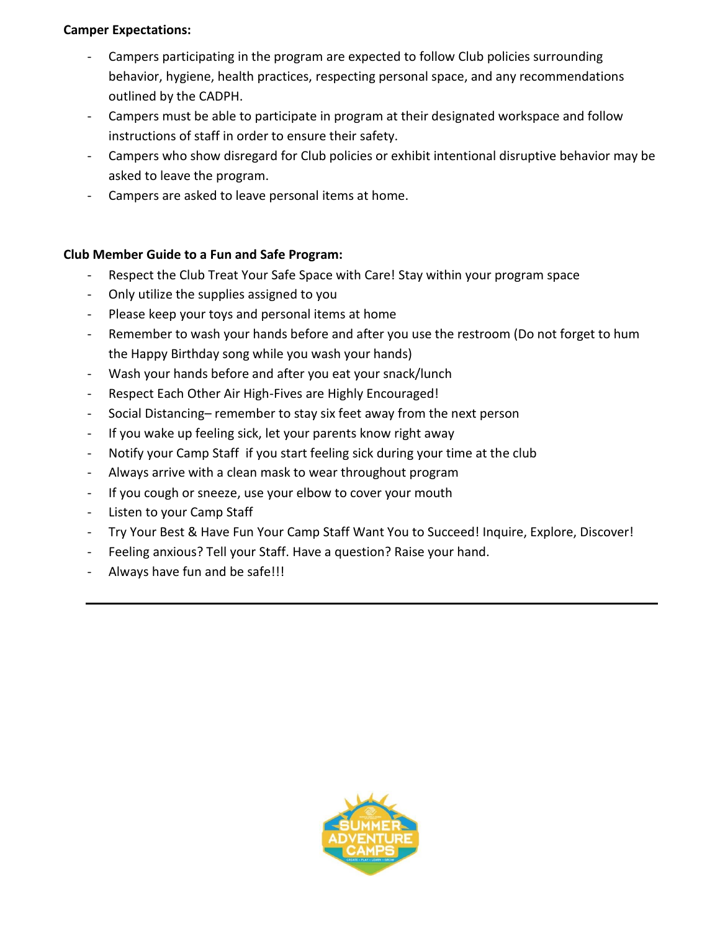## **Camper Expectations:**

- Campers participating in the program are expected to follow Club policies surrounding behavior, hygiene, health practices, respecting personal space, and any recommendations outlined by the CADPH.
- Campers must be able to participate in program at their designated workspace and follow instructions of staff in order to ensure their safety.
- Campers who show disregard for Club policies or exhibit intentional disruptive behavior may be asked to leave the program.
- Campers are asked to leave personal items at home.

## **Club Member Guide to a Fun and Safe Program:**

- Respect the Club Treat Your Safe Space with Care! Stay within your program space
- Only utilize the supplies assigned to you
- Please keep your toys and personal items at home
- Remember to wash your hands before and after you use the restroom (Do not forget to hum the Happy Birthday song while you wash your hands)
- Wash your hands before and after you eat your snack/lunch
- Respect Each Other Air High-Fives are Highly Encouraged!
- Social Distancing– remember to stay six feet away from the next person
- If you wake up feeling sick, let your parents know right away
- Notify your Camp Staff if you start feeling sick during your time at the club
- Always arrive with a clean mask to wear throughout program
- If you cough or sneeze, use your elbow to cover your mouth
- Listen to your Camp Staff
- Try Your Best & Have Fun Your Camp Staff Want You to Succeed! Inquire, Explore, Discover!
- Feeling anxious? Tell your Staff. Have a question? Raise your hand.
- Always have fun and be safe!!!

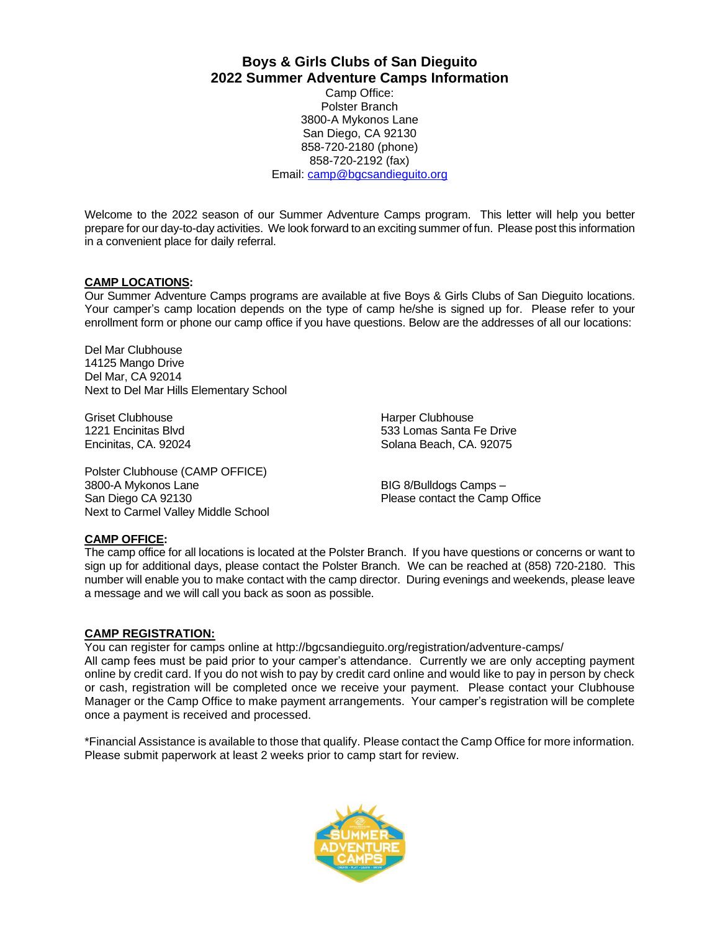**Boys & Girls Clubs of San Dieguito 2022 Summer Adventure Camps Information**

Camp Office: Polster Branch 3800-A Mykonos Lane San Diego, CA 92130 858-720-2180 (phone) 858-720-2192 (fax) Email: [camp@bgcsandieguito.org](mailto:camp@bgcsandieguito.org)

Welcome to the 2022 season of our Summer Adventure Camps program. This letter will help you better prepare for our day-to-day activities. We look forward to an exciting summer of fun. Please post this information in a convenient place for daily referral.

#### **CAMP LOCATIONS:**

Our Summer Adventure Camps programs are available at five Boys & Girls Clubs of San Dieguito locations. Your camper's camp location depends on the type of camp he/she is signed up for. Please refer to your enrollment form or phone our camp office if you have questions. Below are the addresses of all our locations:

Del Mar Clubhouse 14125 Mango Drive Del Mar, CA 92014 Next to Del Mar Hills Elementary School

Griset Clubhouse **Harper Clubhouse** Harper Clubhouse

Polster Clubhouse (CAMP OFFICE) 3800-A Mykonos Lane BIG 8/Bulldogs Camps – San Diego CA 92130 **Please contact the Camp Office** Next to Carmel Valley Middle School

1221 Encinitas Blvd 533 Lomas Santa Fe Drive Encinitas, CA. 92024 Solana Beach, CA. 92075

# **CAMP OFFICE:**

The camp office for all locations is located at the Polster Branch. If you have questions or concerns or want to sign up for additional days, please contact the Polster Branch. We can be reached at (858) 720-2180. This number will enable you to make contact with the camp director. During evenings and weekends, please leave a message and we will call you back as soon as possible.

#### **CAMP REGISTRATION:**

You can register for camps online at http://bgcsandieguito.org/registration/adventure-camps/ All camp fees must be paid prior to your camper's attendance. Currently we are only accepting payment online by credit card. If you do not wish to pay by credit card online and would like to pay in person by check or cash, registration will be completed once we receive your payment. Please contact your Clubhouse Manager or the Camp Office to make payment arrangements. Your camper's registration will be complete once a payment is received and processed.

\*Financial Assistance is available to those that qualify. Please contact the Camp Office for more information. Please submit paperwork at least 2 weeks prior to camp start for review.

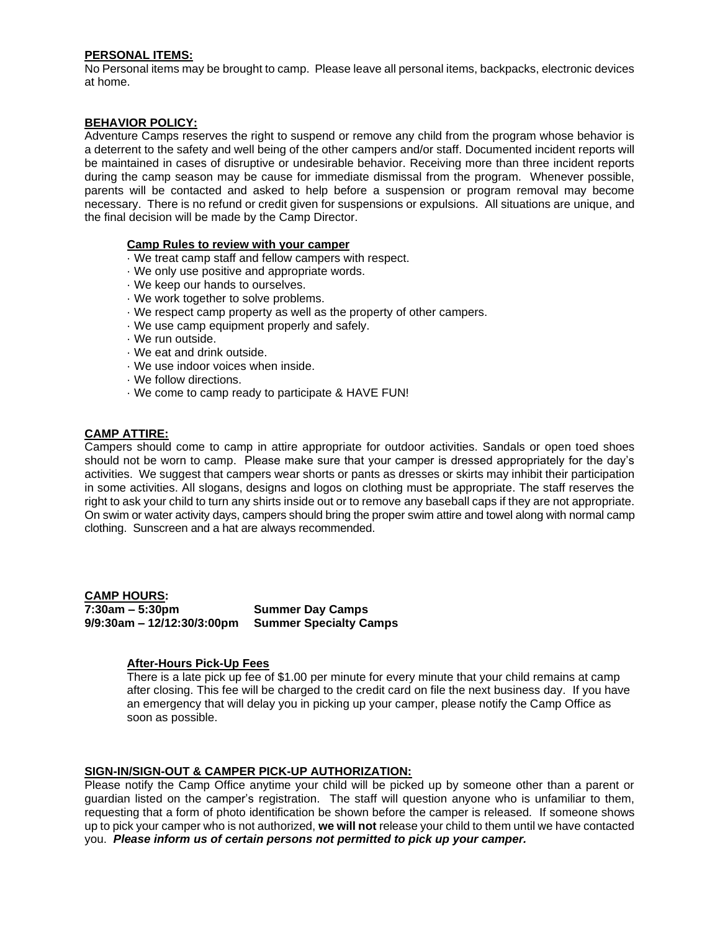#### **PERSONAL ITEMS:**

No Personal items may be brought to camp. Please leave all personal items, backpacks, electronic devices at home.

#### **BEHAVIOR POLICY:**

Adventure Camps reserves the right to suspend or remove any child from the program whose behavior is a deterrent to the safety and well being of the other campers and/or staff. Documented incident reports will be maintained in cases of disruptive or undesirable behavior. Receiving more than three incident reports during the camp season may be cause for immediate dismissal from the program. Whenever possible, parents will be contacted and asked to help before a suspension or program removal may become necessary. There is no refund or credit given for suspensions or expulsions. All situations are unique, and the final decision will be made by the Camp Director.

#### **Camp Rules to review with your camper**

- · We treat camp staff and fellow campers with respect.
- · We only use positive and appropriate words.
- · We keep our hands to ourselves.
- · We work together to solve problems.
- · We respect camp property as well as the property of other campers.
- · We use camp equipment properly and safely.
- · We run outside.
- · We eat and drink outside.
- · We use indoor voices when inside.
- · We follow directions.
- · We come to camp ready to participate & HAVE FUN!

#### **CAMP ATTIRE:**

Campers should come to camp in attire appropriate for outdoor activities. Sandals or open toed shoes should not be worn to camp. Please make sure that your camper is dressed appropriately for the day's activities. We suggest that campers wear shorts or pants as dresses or skirts may inhibit their participation in some activities. All slogans, designs and logos on clothing must be appropriate. The staff reserves the right to ask your child to turn any shirts inside out or to remove any baseball caps if they are not appropriate. On swim or water activity days, campers should bring the proper swim attire and towel along with normal camp clothing. Sunscreen and a hat are always recommended.

**CAMP HOURS: 7:30am – 5:30pm Summer Day Camps 9/9:30am – 12/12:30/3:00pm Summer Specialty Camps**

#### **After-Hours Pick-Up Fees**

There is a late pick up fee of \$1.00 per minute for every minute that your child remains at camp after closing. This fee will be charged to the credit card on file the next business day. If you have an emergency that will delay you in picking up your camper, please notify the Camp Office as soon as possible.

#### **SIGN-IN/SIGN-OUT & CAMPER PICK-UP AUTHORIZATION:**

Please notify the Camp Office anytime your child will be picked up by someone other than a parent or guardian listed on the camper's registration. The staff will question anyone who is unfamiliar to them, requesting that a form of photo identification be shown before the camper is released*.* If someone shows up to pick your camper who is not authorized, **we will not** release your child to them until we have contacted you. *Please inform us of certain persons not permitted to pick up your camper.*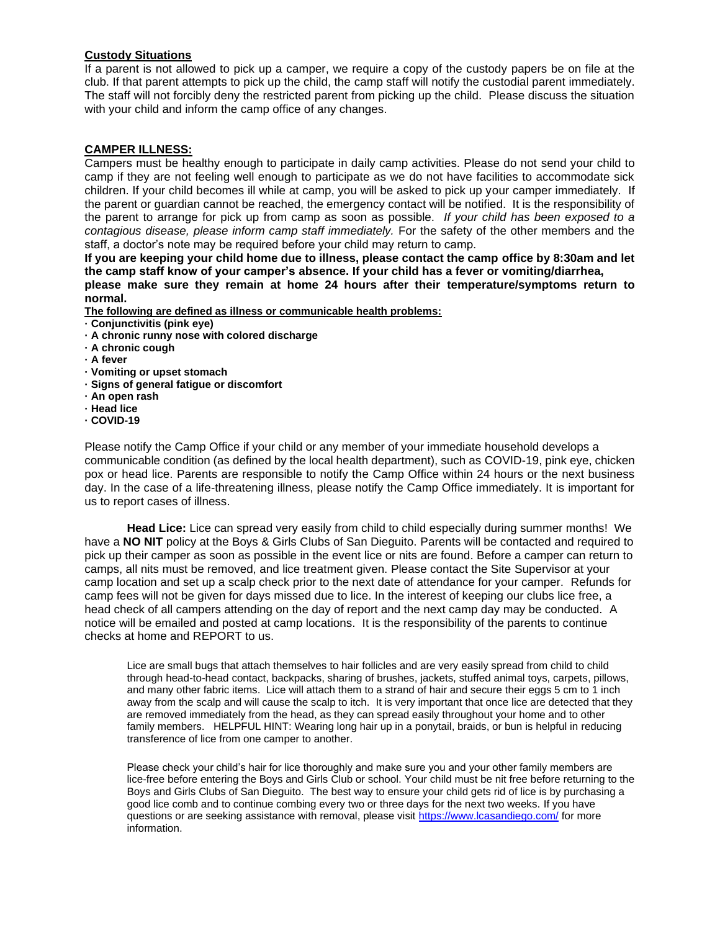#### **Custody Situations**

If a parent is not allowed to pick up a camper, we require a copy of the custody papers be on file at the club. If that parent attempts to pick up the child, the camp staff will notify the custodial parent immediately. The staff will not forcibly deny the restricted parent from picking up the child. Please discuss the situation with your child and inform the camp office of any changes.

#### **CAMPER ILLNESS:**

Campers must be healthy enough to participate in daily camp activities. Please do not send your child to camp if they are not feeling well enough to participate as we do not have facilities to accommodate sick children. If your child becomes ill while at camp, you will be asked to pick up your camper immediately. If the parent or guardian cannot be reached, the emergency contact will be notified. It is the responsibility of the parent to arrange for pick up from camp as soon as possible. *If your child has been exposed to a contagious disease, please inform camp staff immediately.* For the safety of the other members and the staff, a doctor's note may be required before your child may return to camp.

**If you are keeping your child home due to illness, please contact the camp office by 8:30am and let the camp staff know of your camper's absence. If your child has a fever or vomiting/diarrhea, please make sure they remain at home 24 hours after their temperature/symptoms return to normal.** 

**The following are defined as illness or communicable health problems:** 

- **· Conjunctivitis (pink eye)**
- **· A chronic runny nose with colored discharge**
- **· A chronic cough**
- **· A fever**
- **· Vomiting or upset stomach**
- **· Signs of general fatigue or discomfort**
- **· An open rash**
- **· Head lice**
- **· COVID-19**

Please notify the Camp Office if your child or any member of your immediate household develops a communicable condition (as defined by the local health department), such as COVID-19, pink eye, chicken pox or head lice. Parents are responsible to notify the Camp Office within 24 hours or the next business day. In the case of a life-threatening illness, please notify the Camp Office immediately. It is important for us to report cases of illness.

**Head Lice:** Lice can spread very easily from child to child especially during summer months! We have a **NO NIT** policy at the Boys & Girls Clubs of San Dieguito. Parents will be contacted and required to pick up their camper as soon as possible in the event lice or nits are found. Before a camper can return to camps, all nits must be removed, and lice treatment given. Please contact the Site Supervisor at your camp location and set up a scalp check prior to the next date of attendance for your camper. Refunds for camp fees will not be given for days missed due to lice. In the interest of keeping our clubs lice free, a head check of all campers attending on the day of report and the next camp day may be conducted. A notice will be emailed and posted at camp locations. It is the responsibility of the parents to continue checks at home and REPORT to us.

Lice are small bugs that attach themselves to hair follicles and are very easily spread from child to child through head-to-head contact, backpacks, sharing of brushes, jackets, stuffed animal toys, carpets, pillows, and many other fabric items. Lice will attach them to a strand of hair and secure their eggs 5 cm to 1 inch away from the scalp and will cause the scalp to itch. It is very important that once lice are detected that they are removed immediately from the head, as they can spread easily throughout your home and to other family members. HELPFUL HINT: Wearing long hair up in a ponytail, braids, or bun is helpful in reducing transference of lice from one camper to another.

Please check your child's hair for lice thoroughly and make sure you and your other family members are lice-free before entering the Boys and Girls Club or school. Your child must be nit free before returning to the Boys and Girls Clubs of San Dieguito. The best way to ensure your child gets rid of lice is by purchasing a good lice comb and to continue combing every two or three days for the next two weeks. If you have questions or are seeking assistance with removal, please visit <https://www.lcasandiego.com/> for more information.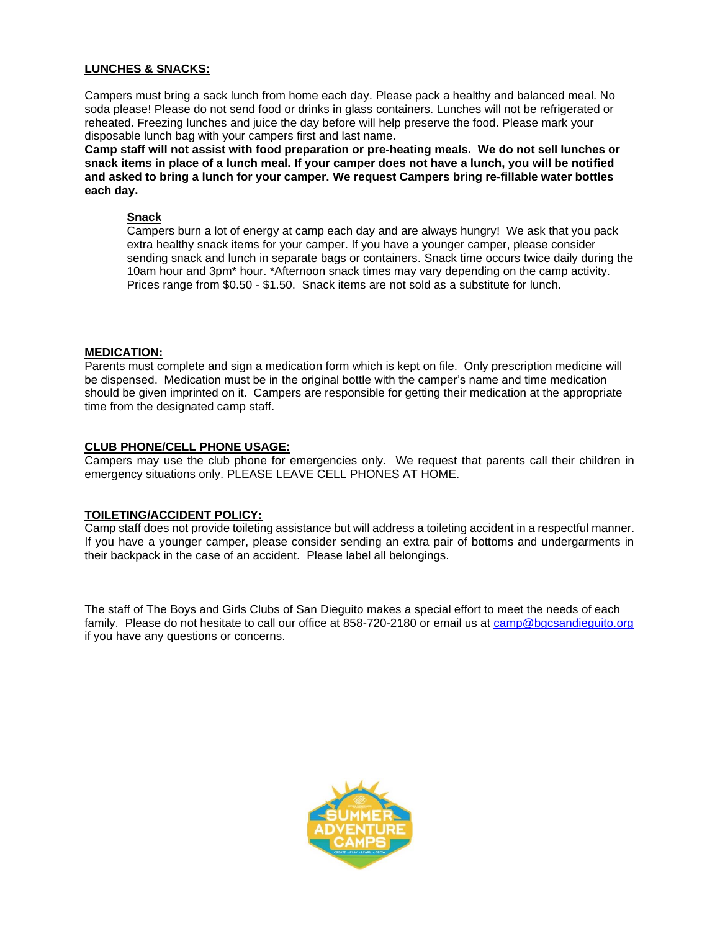#### **LUNCHES & SNACKS:**

Campers must bring a sack lunch from home each day. Please pack a healthy and balanced meal. No soda please! Please do not send food or drinks in glass containers. Lunches will not be refrigerated or reheated. Freezing lunches and juice the day before will help preserve the food. Please mark your disposable lunch bag with your campers first and last name.

**Camp staff will not assist with food preparation or pre-heating meals. We do not sell lunches or snack items in place of a lunch meal. If your camper does not have a lunch, you will be notified and asked to bring a lunch for your camper. We request Campers bring re-fillable water bottles each day.**

#### **Snack**

Campers burn a lot of energy at camp each day and are always hungry! We ask that you pack extra healthy snack items for your camper. If you have a younger camper, please consider sending snack and lunch in separate bags or containers. Snack time occurs twice daily during the 10am hour and 3pm\* hour. \*Afternoon snack times may vary depending on the camp activity. Prices range from \$0.50 - \$1.50. Snack items are not sold as a substitute for lunch.

#### **MEDICATION:**

Parents must complete and sign a medication form which is kept on file. Only prescription medicine will be dispensed. Medication must be in the original bottle with the camper's name and time medication should be given imprinted on it. Campers are responsible for getting their medication at the appropriate time from the designated camp staff.

#### **CLUB PHONE/CELL PHONE USAGE:**

Campers may use the club phone for emergencies only. We request that parents call their children in emergency situations only. PLEASE LEAVE CELL PHONES AT HOME.

#### **TOILETING/ACCIDENT POLICY:**

Camp staff does not provide toileting assistance but will address a toileting accident in a respectful manner. If you have a younger camper, please consider sending an extra pair of bottoms and undergarments in their backpack in the case of an accident. Please label all belongings.

The staff of The Boys and Girls Clubs of San Dieguito makes a special effort to meet the needs of each family. Please do not hesitate to call our office at 858-720-2180 or email us at [camp@bgcsandieguito.org](mailto:camp@bgcsandieguito.org) if you have any questions or concerns.

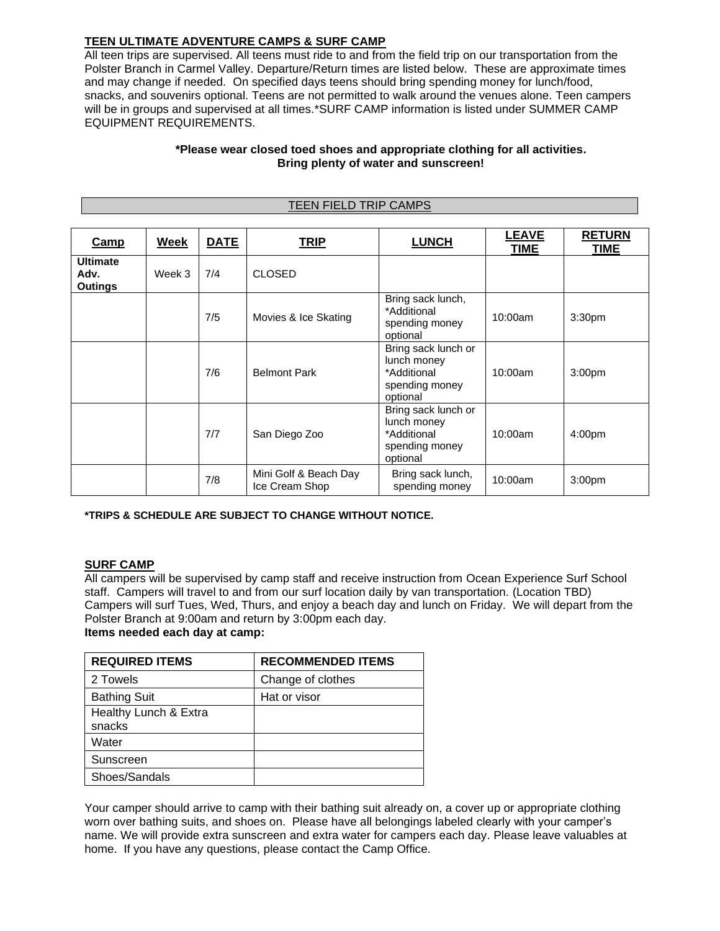## **TEEN ULTIMATE ADVENTURE CAMPS & SURF CAMP**

All teen trips are supervised. All teens must ride to and from the field trip on our transportation from the Polster Branch in Carmel Valley. Departure/Return times are listed below. These are approximate times and may change if needed. On specified days teens should bring spending money for lunch/food, snacks, and souvenirs optional. Teens are not permitted to walk around the venues alone. Teen campers will be in groups and supervised at all times.\*SURF CAMP information is listed under SUMMER CAMP EQUIPMENT REQUIREMENTS.

#### **\*Please wear closed toed shoes and appropriate clothing for all activities. Bring plenty of water and sunscreen!**

TEEN FIELD TRIP CAMPS

| Camp                                      | Week   | <b>DATE</b> | <b>TRIP</b>                             | <b>LUNCH</b>                                                                    | <b>LEAVE</b><br>TIME | <b>RETURN</b><br>TIME |
|-------------------------------------------|--------|-------------|-----------------------------------------|---------------------------------------------------------------------------------|----------------------|-----------------------|
| <b>Ultimate</b><br>Adv.<br><b>Outings</b> | Week 3 | 7/4         | <b>CLOSED</b>                           |                                                                                 |                      |                       |
|                                           |        | 7/5         | Movies & Ice Skating                    | Bring sack lunch,<br>*Additional<br>spending money<br>optional                  | 10:00am              | 3:30 <sub>pm</sub>    |
|                                           |        | 7/6         | <b>Belmont Park</b>                     | Bring sack lunch or<br>lunch money<br>*Additional<br>spending money<br>optional | 10:00am              | 3:00 <sub>pm</sub>    |
|                                           |        | 7/7         | San Diego Zoo                           | Bring sack lunch or<br>lunch money<br>*Additional<br>spending money<br>optional | 10:00am              | 4:00 <sub>pm</sub>    |
|                                           |        | 7/8         | Mini Golf & Beach Day<br>Ice Cream Shop | Bring sack lunch,<br>spending money                                             | 10:00am              | 3:00 <sub>pm</sub>    |

#### **\*TRIPS & SCHEDULE ARE SUBJECT TO CHANGE WITHOUT NOTICE.**

#### **SURF CAMP**

All campers will be supervised by camp staff and receive instruction from Ocean Experience Surf School staff. Campers will travel to and from our surf location daily by van transportation. (Location TBD) Campers will surf Tues, Wed, Thurs, and enjoy a beach day and lunch on Friday. We will depart from the Polster Branch at 9:00am and return by 3:00pm each day.

#### **Items needed each day at camp:**

| <b>REQUIRED ITEMS</b> | <b>RECOMMENDED ITEMS</b> |
|-----------------------|--------------------------|
| 2 Towels              | Change of clothes        |
| <b>Bathing Suit</b>   | Hat or visor             |
| Healthy Lunch & Extra |                          |
| snacks                |                          |
| Water                 |                          |
| Sunscreen             |                          |
| Shoes/Sandals         |                          |

Your camper should arrive to camp with their bathing suit already on, a cover up or appropriate clothing worn over bathing suits, and shoes on. Please have all belongings labeled clearly with your camper's name. We will provide extra sunscreen and extra water for campers each day. Please leave valuables at home. If you have any questions, please contact the Camp Office.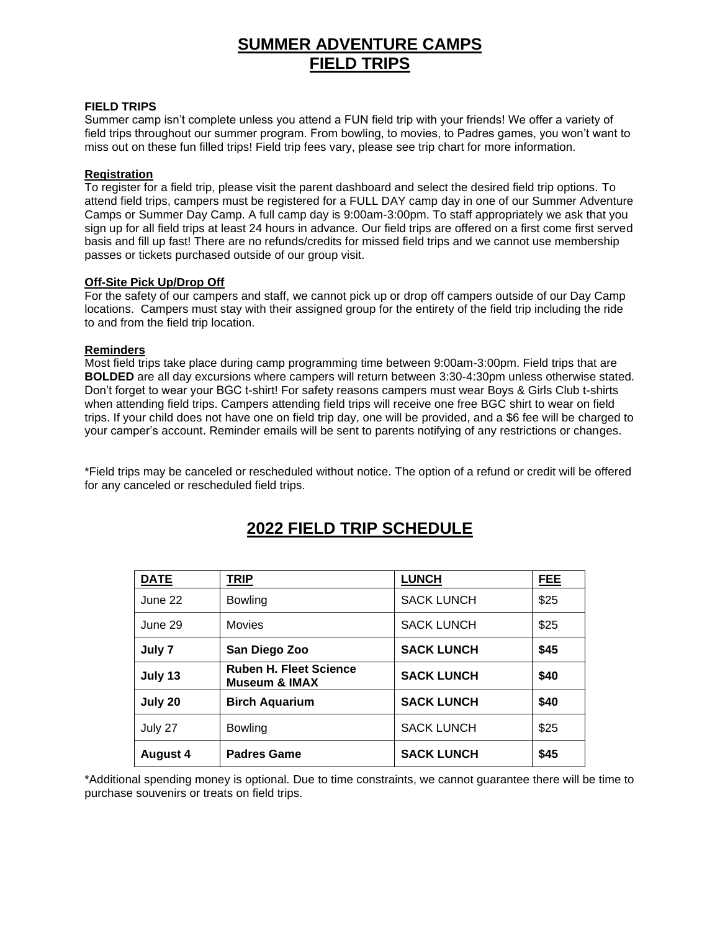# **SUMMER ADVENTURE CAMPS FIELD TRIPS**

#### **FIELD TRIPS**

Summer camp isn't complete unless you attend a FUN field trip with your friends! We offer a variety of field trips throughout our summer program. From bowling, to movies, to Padres games, you won't want to miss out on these fun filled trips! Field trip fees vary, please see trip chart for more information.

#### **Registration**

To register for a field trip, please visit the parent dashboard and select the desired field trip options. To attend field trips, campers must be registered for a FULL DAY camp day in one of our Summer Adventure Camps or Summer Day Camp. A full camp day is 9:00am-3:00pm. To staff appropriately we ask that you sign up for all field trips at least 24 hours in advance. Our field trips are offered on a first come first served basis and fill up fast! There are no refunds/credits for missed field trips and we cannot use membership passes or tickets purchased outside of our group visit.

#### **Off-Site Pick Up/Drop Off**

For the safety of our campers and staff, we cannot pick up or drop off campers outside of our Day Camp locations. Campers must stay with their assigned group for the entirety of the field trip including the ride to and from the field trip location.

#### **Reminders**

Most field trips take place during camp programming time between 9:00am-3:00pm. Field trips that are **BOLDED** are all day excursions where campers will return between 3:30-4:30pm unless otherwise stated. Don't forget to wear your BGC t-shirt! For safety reasons campers must wear Boys & Girls Club t-shirts when attending field trips. Campers attending field trips will receive one free BGC shirt to wear on field trips. If your child does not have one on field trip day, one will be provided, and a \$6 fee will be charged to your camper's account. Reminder emails will be sent to parents notifying of any restrictions or changes.

\*Field trips may be canceled or rescheduled without notice. The option of a refund or credit will be offered for any canceled or rescheduled field trips.

| <b>DATE</b>     | <b>TRIP</b>                                               | <b>LUNCH</b>      | <b>FEE</b> |
|-----------------|-----------------------------------------------------------|-------------------|------------|
| June 22         | <b>Bowling</b>                                            | <b>SACK LUNCH</b> | \$25       |
| June 29         | <b>Movies</b>                                             | <b>SACK LUNCH</b> | \$25       |
| July 7          | San Diego Zoo                                             | <b>SACK LUNCH</b> | \$45       |
| July 13         | <b>Ruben H. Fleet Science</b><br><b>Museum &amp; IMAX</b> | <b>SACK LUNCH</b> | \$40       |
| July 20         | <b>Birch Aquarium</b>                                     | <b>SACK LUNCH</b> | \$40       |
| July 27         | <b>Bowling</b>                                            | <b>SACK LUNCH</b> | \$25       |
| <b>August 4</b> | <b>Padres Game</b>                                        | <b>SACK LUNCH</b> | \$45       |

# **2022 FIELD TRIP SCHEDULE**

\*Additional spending money is optional. Due to time constraints, we cannot guarantee there will be time to purchase souvenirs or treats on field trips.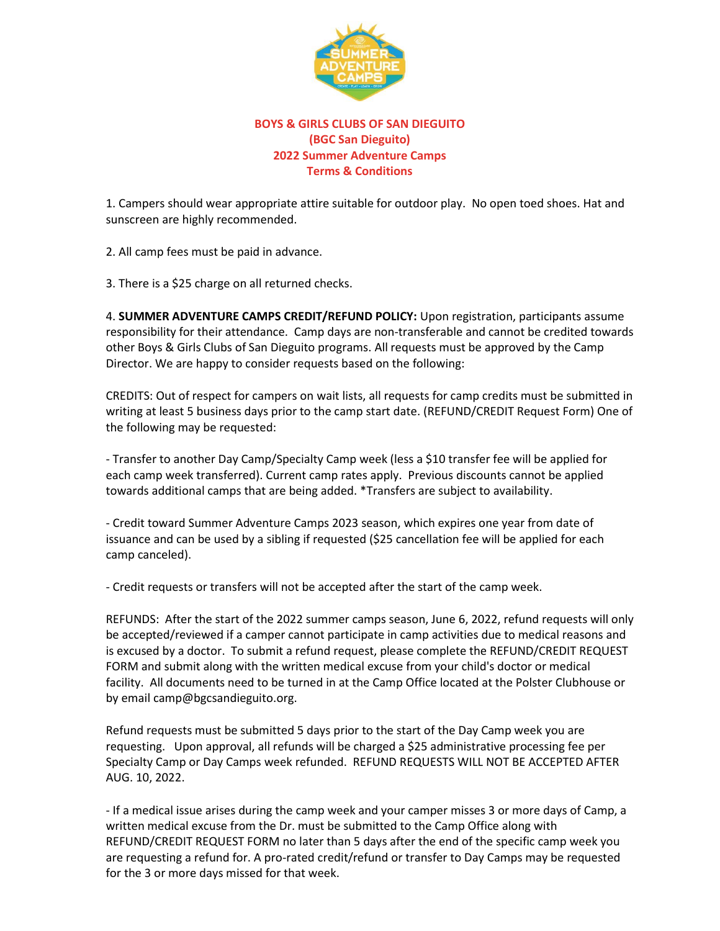

## **BOYS & GIRLS CLUBS OF SAN DIEGUITO (BGC San Dieguito) 2022 Summer Adventure Camps Terms & Conditions**

1. Campers should wear appropriate attire suitable for outdoor play. No open toed shoes. Hat and sunscreen are highly recommended.

2. All camp fees must be paid in advance.

3. There is a \$25 charge on all returned checks.

4. **SUMMER ADVENTURE CAMPS CREDIT/REFUND POLICY:** Upon registration, participants assume responsibility for their attendance. Camp days are non-transferable and cannot be credited towards other Boys & Girls Clubs of San Dieguito programs. All requests must be approved by the Camp Director. We are happy to consider requests based on the following:

CREDITS: Out of respect for campers on wait lists, all requests for camp credits must be submitted in writing at least 5 business days prior to the camp start date. (REFUND/CREDIT Request Form) One of the following may be requested:

- Transfer to another Day Camp/Specialty Camp week (less a \$10 transfer fee will be applied for each camp week transferred). Current camp rates apply. Previous discounts cannot be applied towards additional camps that are being added. \*Transfers are subject to availability.

- Credit toward Summer Adventure Camps 2023 season, which expires one year from date of issuance and can be used by a sibling if requested (\$25 cancellation fee will be applied for each camp canceled).

- Credit requests or transfers will not be accepted after the start of the camp week.

REFUNDS: After the start of the 2022 summer camps season, June 6, 2022, refund requests will only be accepted/reviewed if a camper cannot participate in camp activities due to medical reasons and is excused by a doctor. To submit a refund request, please complete the REFUND/CREDIT REQUEST FORM and submit along with the written medical excuse from your child's doctor or medical facility. All documents need to be turned in at the Camp Office located at the Polster Clubhouse or by email camp@bgcsandieguito.org.

Refund requests must be submitted 5 days prior to the start of the Day Camp week you are requesting. Upon approval, all refunds will be charged a \$25 administrative processing fee per Specialty Camp or Day Camps week refunded. REFUND REQUESTS WILL NOT BE ACCEPTED AFTER AUG. 10, 2022.

- If a medical issue arises during the camp week and your camper misses 3 or more days of Camp, a written medical excuse from the Dr. must be submitted to the Camp Office along with REFUND/CREDIT REQUEST FORM no later than 5 days after the end of the specific camp week you are requesting a refund for. A pro-rated credit/refund or transfer to Day Camps may be requested for the 3 or more days missed for that week.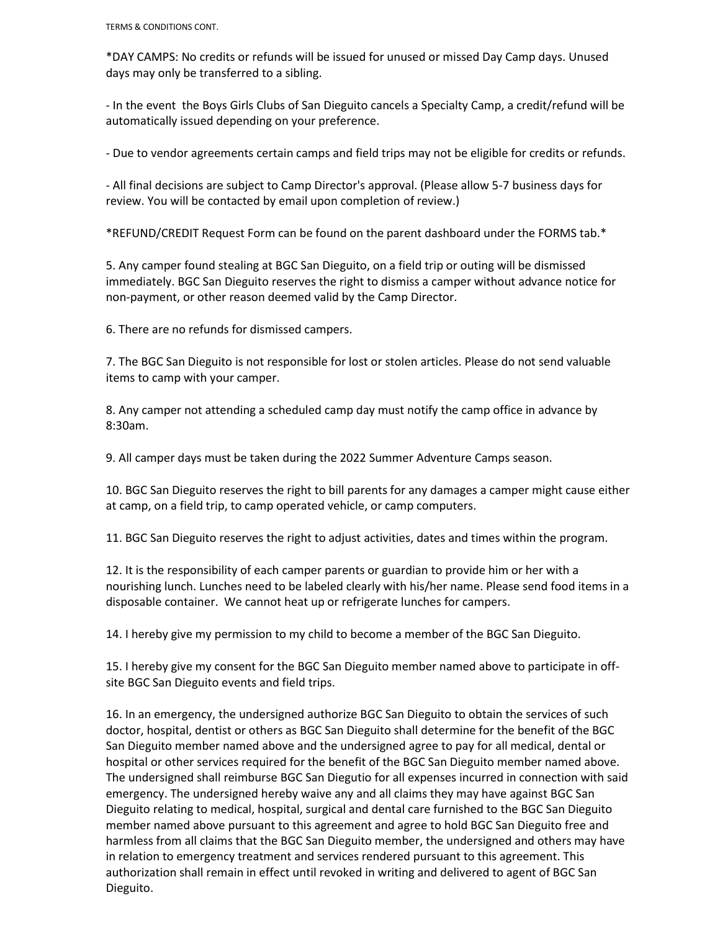TERMS & CONDITIONS CONT.

\*DAY CAMPS: No credits or refunds will be issued for unused or missed Day Camp days. Unused days may only be transferred to a sibling.

- In the event the Boys Girls Clubs of San Dieguito cancels a Specialty Camp, a credit/refund will be automatically issued depending on your preference.

- Due to vendor agreements certain camps and field trips may not be eligible for credits or refunds.

- All final decisions are subject to Camp Director's approval. (Please allow 5-7 business days for review. You will be contacted by email upon completion of review.)

\*REFUND/CREDIT Request Form can be found on the parent dashboard under the FORMS tab.\*

5. Any camper found stealing at BGC San Dieguito, on a field trip or outing will be dismissed immediately. BGC San Dieguito reserves the right to dismiss a camper without advance notice for non-payment, or other reason deemed valid by the Camp Director.

6. There are no refunds for dismissed campers.

7. The BGC San Dieguito is not responsible for lost or stolen articles. Please do not send valuable items to camp with your camper.

8. Any camper not attending a scheduled camp day must notify the camp office in advance by 8:30am.

9. All camper days must be taken during the 2022 Summer Adventure Camps season.

10. BGC San Dieguito reserves the right to bill parents for any damages a camper might cause either at camp, on a field trip, to camp operated vehicle, or camp computers.

11. BGC San Dieguito reserves the right to adjust activities, dates and times within the program.

12. It is the responsibility of each camper parents or guardian to provide him or her with a nourishing lunch. Lunches need to be labeled clearly with his/her name. Please send food items in a disposable container. We cannot heat up or refrigerate lunches for campers.

14. I hereby give my permission to my child to become a member of the BGC San Dieguito.

15. I hereby give my consent for the BGC San Dieguito member named above to participate in offsite BGC San Dieguito events and field trips.

16. In an emergency, the undersigned authorize BGC San Dieguito to obtain the services of such doctor, hospital, dentist or others as BGC San Dieguito shall determine for the benefit of the BGC San Dieguito member named above and the undersigned agree to pay for all medical, dental or hospital or other services required for the benefit of the BGC San Dieguito member named above. The undersigned shall reimburse BGC San Diegutio for all expenses incurred in connection with said emergency. The undersigned hereby waive any and all claims they may have against BGC San Dieguito relating to medical, hospital, surgical and dental care furnished to the BGC San Dieguito member named above pursuant to this agreement and agree to hold BGC San Dieguito free and harmless from all claims that the BGC San Dieguito member, the undersigned and others may have in relation to emergency treatment and services rendered pursuant to this agreement. This authorization shall remain in effect until revoked in writing and delivered to agent of BGC San Dieguito.